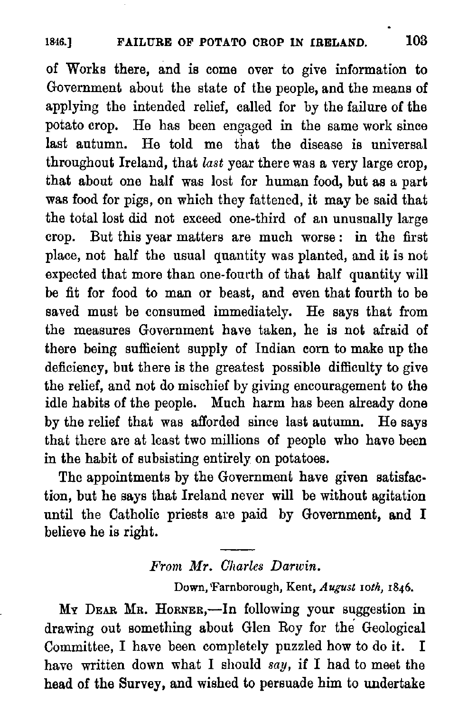of Works there, and is come over to give information to Government about the state of the people, and the means of applying the intended relief, called for by the failure of the potato crop. He has been engaged in the same work since last autumn. He told me that the disease is universal throughout Ireland, that last year there was a very large crop, that about one half was lost for human food, but as a part was food for pigs, on which they fattened, it may be said that the total lost did not exceed one-third of an unusually large crop. But this year matters are much worse: in the first place, not half the usual quantity was planted, and it is not expected that more than one-fourth of that half quantity will be fit for food to man or beast, and even that fourth to be saved must be consumed immediately. He says that from the measures Government have taken, he is not afraid of there being sufficient supply of Indian corn to make up the deficiency, but there is the greatest possible difficulty to give the relief, and not do mischief by giving encouragement to the idle habits of the people. Much harm has been already done by the relief that was afforded since last autumn. He says that there are at least two millions of people who have been in the habit of subsisting entirely on potatoes.

The appointments by the Government have given satisfaction, but he says that Ireland never will be without agitation until the Catholic priests are paid by Government, and I believe he is right.  $\frac{1}{1}$ 

# From Mr. Charles Darwin.

Down, Farnborough, Kent, August 10th, 1846.

My Dear Mr. Horner,—In following your suggestion in drawing out something about Glen Roy for the Geological Committee, I have been completely puzzled how to do it. I have writien down what I should say, if I had to meet the head of the Survey, and wished to persuade him to undertake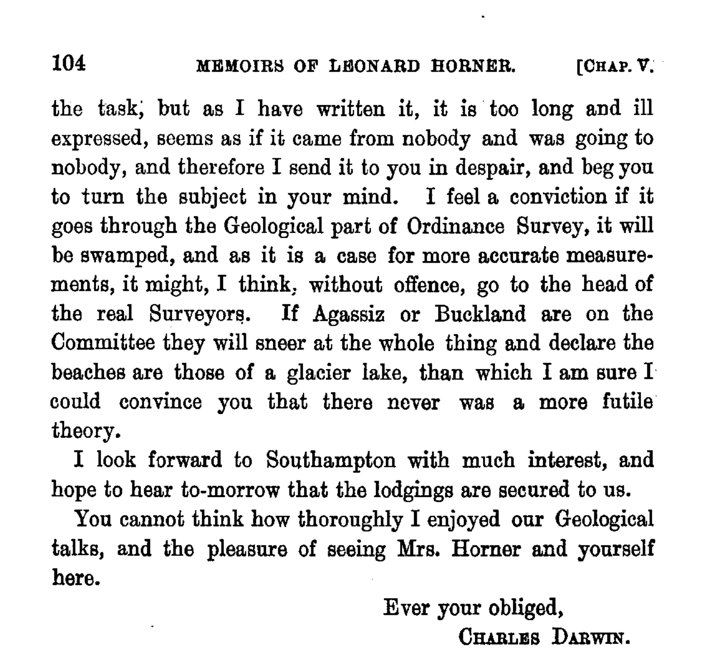104 MEMOIRS OF LEONARD HORNER. [CHAP. V.]

the task, but as I have written it, it is too long and ill expressed, seems as if it came from nobody and was going to nobody, and therefore I send it to you in despair, and beg you to turn the subject in your mind. I feel a conviction if it goes through the Geological part of Ordinance Survey, it will be swamped, and as it is a case for more accurate measurements, it might, I think, without offence, go to the head of the real Surveyors. If Agassiz or Buckland are on the Committee they will sneer at the whole thing and declare the beaches are those of a glacier lake, than which I am sure I could convince you that there never was a more futile theory.

I look forward to Southampton with much interest, and hope to hear to-morrow that the lodgings are secured to us.

You cannot think how thoroughly I enjoyed our Geological talks, and the pleasure of seeing Mrs. Horner and yourself here.

> Ever your obliged, CHARLES DARWIN.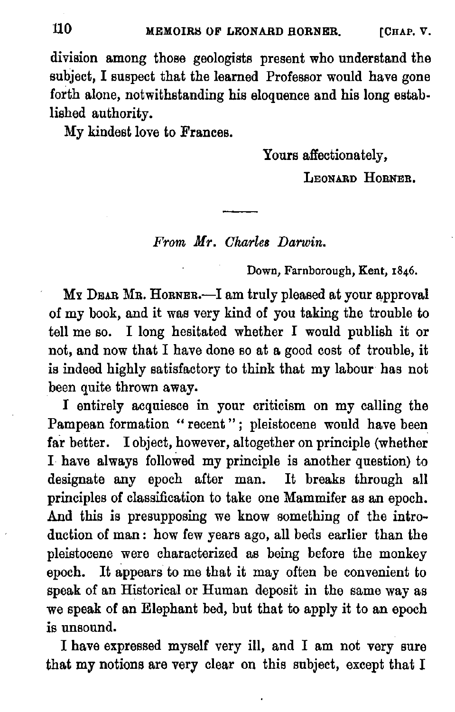division among those geologists present who understand the subject, I suspect that the learned Professor would have gone forth alone, notwithstanding his eloquence and his long established authority.

My kindest love to Frances.

Yours affectionately,

LEONARD HORNER.

From Mr. Charles Darwin.

Down, Farnborough, Kent, 1846.

My Daar Mr. Horner.—I am truly pleased at your approval of my book, and it was very kind of you taking the trouble to tell me so. I long hesitated whether I would publish it or not, and now that I have done so at a good cost of trouble, it is indeed highly satisfactory to think that my labour has not been quite thrown away.

I entirely acquiesce in your criticism on my calling the Pampean formation "recent"; pleistocene would have been far better. I object, however, altogether on principle (whether I. have always followed my principle is another question) to designate any epoch after man. It breaks through all principles of classification to take one Mammifer as an epoch. And this is presupposing we know something of the introduction of man: how few years ago, all beds earlier than the pleistocene were characterized as being before the monkey epoch. It appears to me that it may often be convenient to speak of an Historical or Human deposit in the same way as we speak of an Elephant bed, but that to apply it to an epoch is unsound.

I have expressed myself very ill, and I am not very sure that my notions are very clear on this subject, except that I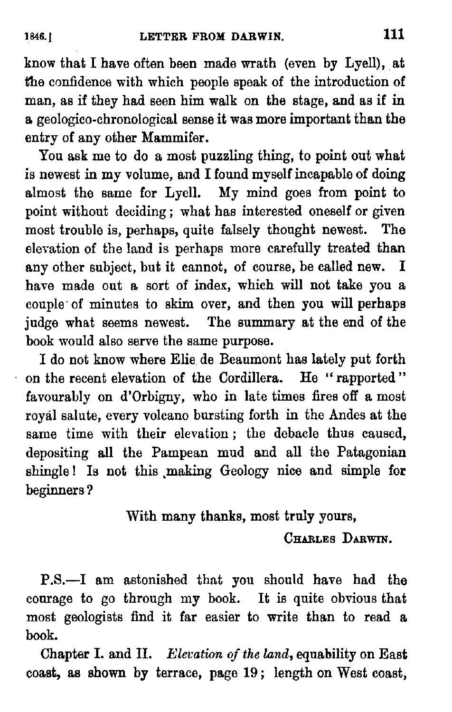know that I have often been made wrath (even by Lyell), at the confidence with which people speak of the introduction of man, as if they had seen him walk on the stage, and as if in a geologico-chronological sense it was more important than the entry of any other Mammifer.

You ask me to do a most puzzling thing, to point out what is newest in my volume, and I found myself incapable of doing almost the same for Lyell. My mind goes from point to point without deciding; what has interested oneself or given most trouble is, perhaps, quite falsely thought newest. The elevation of the land is perhaps more carefully treated than any other subject, but it cannot, of course, be called new. I have made out a sort of index, which will not take you a couple' of minutes to skim over, and then you will perhaps judge what seems newest. The summary at the end of the book would also serve the same purpose.

I do not know where Elie de Beaumont has lately put forth on the recent elevation of the Cordillera. He "rapported" favourably on d'Orbigny, who in late times fires off a most royal salute, every voleano bursting forth in the Andes at the same time with their elevation; the debacle thus caused, depositing all the Pampean mud and all the Patagonian shingle! Is not this making Geology nice and simple for beginners ?

With many thanks, most truly yours,

CHARLES DARWIN.

P.S.—I am astonished that you should have had the courage to go through my book. It is quite obvious that most geologists find it far easier to write than to read a book.

Chapter I. and Il. Elevation of the land, equability on East coast, as shown by terrace, page 19; length on West coast,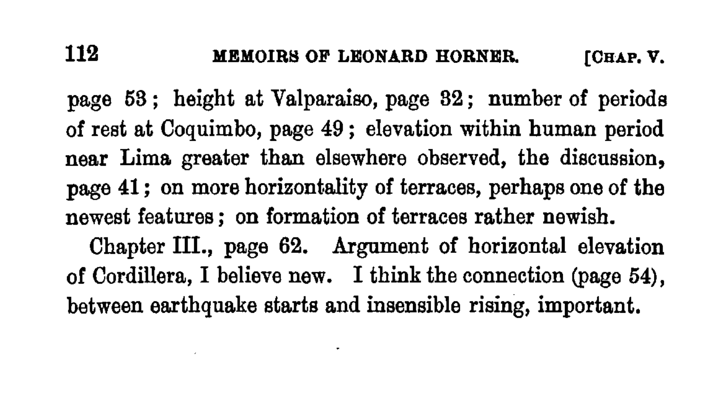page 68; height at Valparaiso, page 82; number of periods of rest at Coquimbo, page 49; elevation within human period near Lima greater than elsewhere observed, the discussion, page 41; on more horizontality of terraces, perhaps one of the newest features; on formation of terraces rather newish. Chapter III., page 62. Argument of horizontal elevation of Cordillera, I believe new. I think the connection (page 54), between earthquake starts and insensible rising, important.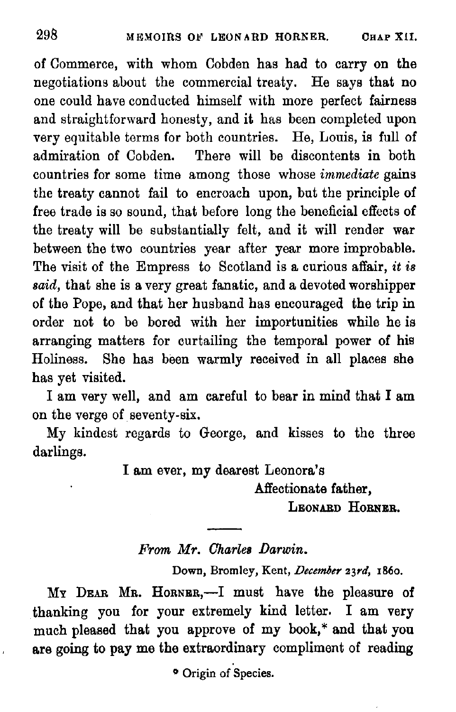of Commerce, with whom Cobden has had to carry on the negotiations about the commercial treaty. He says that no one could have conducted himself with more perfect fairness and straightforward honesty, and it has been completed upon very equitable terms for both countries. He, Louis, is full of admiration of Cobden. There will be discontents in both countries for some time among those whose immediate gains the treaty cannot fail to encroach upon, but the principle of free trade is so sound, that before long the beneficial effects of the treaty will be substantially felt, and it will render war between the two countries year after year more improbable. The visit of the Empress to Scotland is a curious affair, it is said, that she is a very great fanatic, and a devoted worshipper of the Pope, and that her husband has encouraged the trip in order not to be bored with her importunities while he is arranging matters for curtailing the temporal power of his Holiness. She has been warmly received in all places she has yet visited.

I am very well, and am careful to bear in mind that I am on the verge of seventy-six.

My kindest regards to George, and kisses to the three darlings.

Iam ever, my dearest Leonora's

an<br>Barat dan Serana Kelajaran<br>Barat dan Serana Kelajaran Serana Kelajaran Serana Kelajaran Serana Kelajara Serana Kelajara Serana Kelajara

Affectionate father, LEONARD HORNER.

From Mr. Charles Darwin.

Down, Bromley, Kent, December 23rd, 1860.

My Dzar Mr. Horner,—I must have the pleasure of thanking you for your extremely kind letter. I am very much pleased that you approve of my book,\* and that you are going to pay me the extraordinary compliment of reading

\* Origin of Species.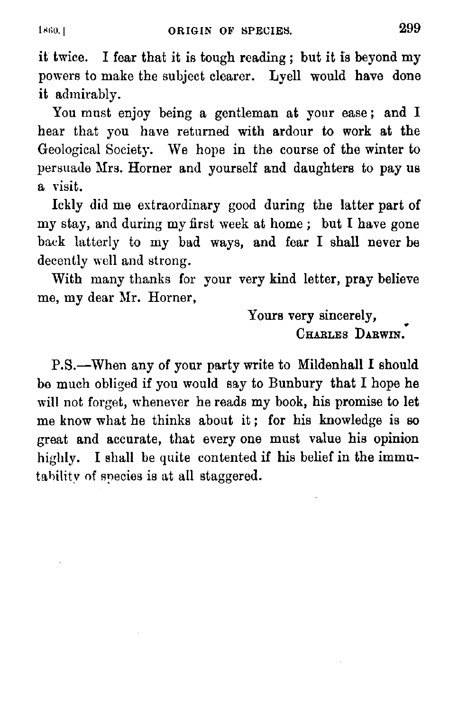it twice. I fear that it is tough reading; but it is beyond my powers to make the subject clearer. Lyell would have done it admirably.

You must enjoy being a gentleman at your ease; and I hear that you have returned with ardour to work at the Geological Society. We hope in the course of the winter to persuade Mrs. Horner and yourself and daughters to pay us @ visit.

Ickly did me extraordinary good during the latter part of my stay, and during my first week at home; but I have gone back latterly to my bad ways, and fear I shall never be decently well and strong.

With many thanks for your very kind letter, pray believe me, my dear Mr. Horner,

> Yours very sincerely, CHARLES DARWIN.

P.§.—When any of your party write to Mildenhall I should be much obliged if you would say to Bunbury that I hope he will not forget, whenever he reads my book, his promise to let me know what he thinks about it; for his knowledge is so great and accurate, that every one must value his opinion highly. I shall be quite contented if his belief in the immutahilitv of snecies is at all staggered.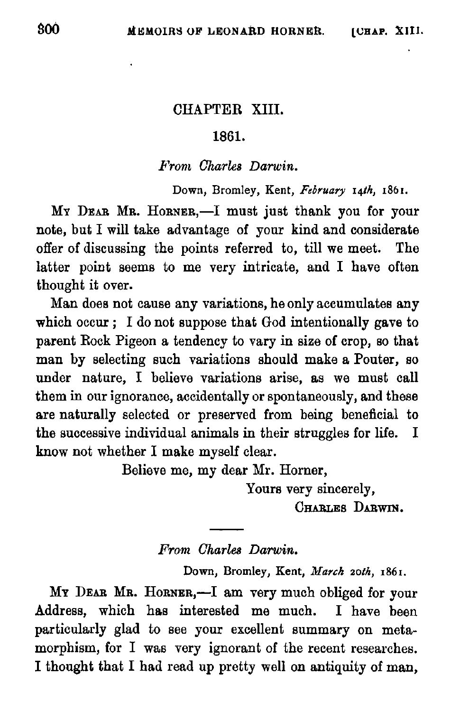## CHAPTER XIII.

## 1861.

### From Charles Darwin.

Down, Bromley, Kent, February 14th, 1861.

My Dzar Mr. Horner,—I must just thank you for your note, but I will take advantage of your kind and considerate offer of discussing the points referred to, till we meet. The latter point seems to me very intricate, and I have often thought it over.

Man does not cause any variations, he only accumulates any which occur; I do not suppose that God intentionally gave to parent Rock Pigeon a tendency to vary in size of crop, so that man by selecting such variations should make a Pouter, so under nature, I believe variations arise, as we must call them in our ignorance, accidentally or spontaneously, and these are naturally selected or preserved from being beneficial to the successive individual animals in their struggles for life. I know not whether I make myself clear.

Believe me, my dear Mr. Horner,

 $\overline{\phantom{a}}$ 

Yours very sincerely, CHarues Darwin.

#### From Charles Darwin.

Down, Bromley, Kent, March 20th, 1861.

My Dear Mr. Horner,—I am very much obliged for your Address, which has interested me much. I have been particularly glad to see your excellent summary on metamorphism, for I was very ignorant of the recent researches. I thought that I had read up pretty well on antiquity of man,